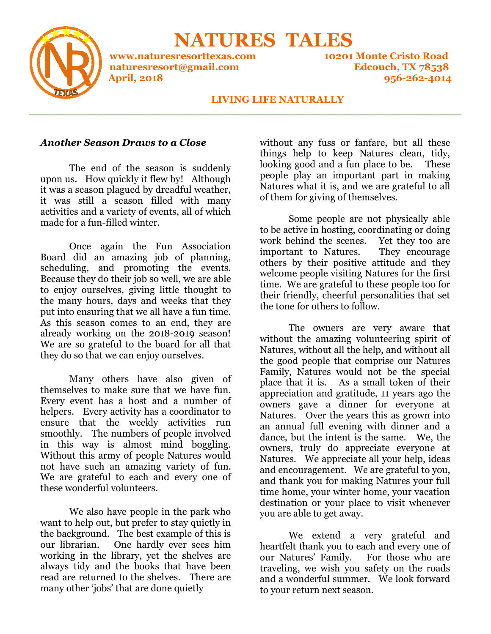

 **NATURES TALES NATURES** 

**\_\_\_\_\_\_\_\_\_\_\_\_\_\_\_\_\_\_\_\_\_\_\_\_\_\_\_\_\_\_\_\_\_\_\_\_\_\_\_\_\_\_\_\_\_\_\_\_\_\_\_\_\_\_\_\_\_\_\_\_\_\_\_\_**

**www.naturesresorttexas.com www.naturesresorttexas.com 10201 Monte Cristo Road naturesresort@gmail.com naturesresort@gmail.com Edcouch, TX 78538 April, 2018**

**10201 Monte Cristo Road Edcouch, 956-262-4014** 

## **LIVING LIFE NATURALLY**

## *Another Season Draws to a Close*

The end of the season is suddenly upon us. How quickly it flew by! Although it was a season plagued by dreadful weather, it was still a season filled with activities and a variety of events, all of which made for a fun-filled winter. The end of the season is suddenly<br>upon us. How quickly it flew by! Although<br>it was a season plagued by dreadful weather,<br>it was still a season filled with many

Once again the Fun Association Board did an amazing job of planning, scheduling, and promoting the events. Because they do their job so well, we are able to enjoy ourselves, giving little thought to the many hours, days and weeks put into ensuring that we all have a fun time. As this season comes to an end, they are already working on the 2018-2019 season! We are so grateful to the board for all that they do so that we can enjoy ourselves. activities and a variety of events, all of which<br>made for a fun-filled winter.<br>Once again the Fun Association<br>Board did an amazing job of planning,<br>scheduling, and promoting the events.<br>Because they do their job so well, w

Many others have also given of themselves to make sure that we have fun. Every event has a host and a number of helpers. Every activity has a coordinator to ensure that the weekly activities run smoothly. The numbers of people involved in this way is almost mind boggling. Without this army of people Natures would not have such an amazing variety of fun. We are grateful to each and every one of these wonderful volunteers. put into ensuring that we all have a fun time.<br>As this season comes to an end, they are<br>already working on the 2018-2019 season!<br>We are so grateful to the board for all that<br>they do so that we can enjoy ourselves.<br>Many oth

We also have people in the park who want to help out, but prefer to stay quietly in the background. The best examp our librarian. One hardly ever sees him working in the library, yet the shelves are always tidy and the books that have been read are returned to the shelves. There are many other 'jobs' that are done quietly

things help to keep Natures clean, tidy, looking good and a fun place to be. These people play an important part in making Natures what it is, and we are grateful to all of them for giving of themselves. without any fuss or fanfare, but all these

Some people are not physically able to be active in hosting, coordinating or doing work behind the scenes. Yet they too are important to Natures. others by their positive attitude and hers and they welcome people visiting Natures for the first time. We are grateful to these people too for their friendly, cheerful personalities that set the tone for others to follow. They encourage

**Another Season Draues to a Close**<br>
thing they to keep Nature<br>
upon as. How quickly it flevels and the passe of the season is suddenly<br>
upon as  $\sim$  How and the season place of the season behavior and the season of the se <sub>te</sub> for others to follow.<br>The owners are very aware that without the amazing volunteering spirit of Natures, without all the help, and without all the good people that comprise our Natures Family, Natures would not be the special place that it is. As a small token of their place that it is. As a small token of their<br>appreciation and gratitude, 11 years ago the owners gave a dinner for everyone at Natures. Over the years this as grown into an annual full evening with dinner and a a dance, but the intent is the same. We, the owners, truly do appreciate everyone at Natures. We appreciate all your help, ideas and encouragement. We are grateful to you, and thank you for making Natures your full time home, your winter home, your vacation destination or your place to visit whenever you are able to get away.

We extend a very grateful and heartfelt thank you to each and every one of our Natures' Family. For those who are traveling, we wish you safety on the roads and a wonderful summer. We look forward a forward to your return next season.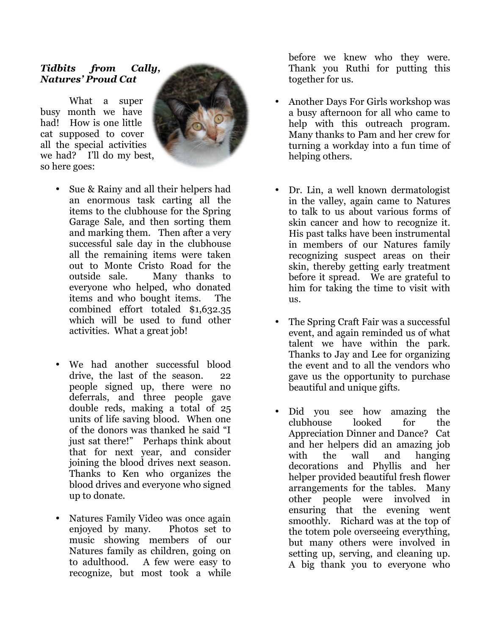## *Tidbits from Cally, Natures' Proud Cat*

 What a super busy month we have had! How is one little cat supposed to cover all the special activities we had? I'll do my best, so here goes:



- Sue & Rainy and all their helpers had an enormous task carting all the items to the clubhouse for the Spring Garage Sale, and then sorting them and marking them. Then after a very successful sale day in the clubhouse all the remaining items were taken out to Monte Cristo Road for the outside sale. Many thanks to everyone who helped, who donated items and who bought items. The combined effort totaled \$1,632.35 which will be used to fund other activities. What a great job! Sue & Rainy and all their helpers had<br>an enormous task carting all the<br>items to the clubhouse for the Spring<br>Garage Sale, and then sorting them<br>and marking them. Then after a very
- We had another successful blood drive, the last of the season. 22 people signed up, there were no deferrals, and three people gave double reds, making a total of 25 units of life saving blood. When one of the donors was thanked he said "I just sat there!" Perhaps think about that for next year, and consider joining the blood drives next season. Thanks to Ken who organizes the blood drives and everyone who signed up to donate.
- Natures Family Video was once again enjoyed by many. Photos set to music showing members of our Natures family as children, going on to adulthood. A few were easy to recognize, but most took a while

Thank you Ruthi for putting this this together for us. before we knew who they were.

- Another Days For Girls workshop was a busy afternoon for all who came to came to help with this outreach program. program. Many thanks to Pam and her crew for turning a workday into a fun time of helping others.
- Dr. Lin, a well known dermatologist in the valley, again came to Natures in Natures to talk to us about various forms of skin cancer and how to recognize it. skin cancer and how to recognize it.<br>His past talks have been instrumental in members of our Natures family recognizing suspect areas on their skin, thereby getting early treatment before it spread. We are grateful to him for taking the time to visit with us.
- The Spring Craft Fair was a successful event, and again reminded us of what talent we have within the park. Thanks to Jay and Lee for organizing Jay and Lee for organizing the event and to all the vendors who gave us the opportunity to purchase purchase beautiful and unique gifts.
- is **From Cally,** before when hey well the set and the set and the set and the set and the set and set and the set and the set and the set and the set and the set of the dones in the set of the set of the set of the set of beautiful and unique gifts.<br>• Did you see how amazing the clubhouse looked for the Appreciation Dinner and Dance? Cat Cat and her helpers did an her helpers amazing job with the wall and hanging decorations and Phyllis and her helper provided beautiful fresh flower arrangements for the tables. Many other people were involved in other people were involved in<br>ensuring that the evening went smoothly. Richard was at the top of the totem pole overseeing everything, but many others were involved in setting up, serving, and cleaning up. setting up, serving, and cleaning up.<br>A big thank you to everyone who looked